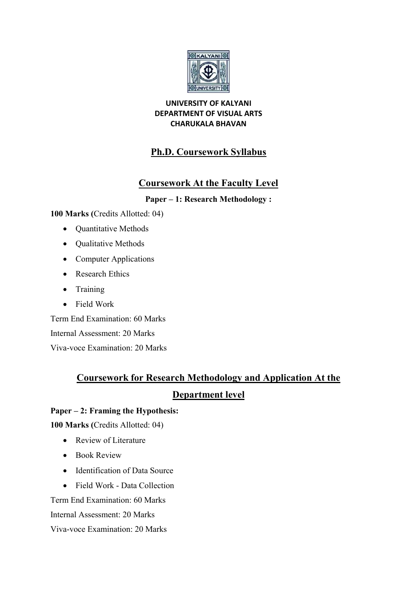

## UNIVERSITY OF KALYANI DEPARTMENT OF VISUAL ARTS CHARUKALA BHAVAN

# Ph.D. Coursework Syllabus

# Coursework At the Faculty Level

# Paper – 1: Research Methodology :

100 Marks (Credits Allotted: 04)

- Ouantitative Methods
- Oualitative Methods
- Computer Applications
- Research Ethics
- Training
- Field Work

• Computer Applications<br>
• Research Ethics<br>
• Training<br>
• Field Work<br>
Term End Examination: 60 Marks Internal Assessment: 20 Marks Viva-voce Examination: 20 Marks

# Coursework for Research Methodology and Application **Coursework for Research Methodology and Application At the**<br> **Department level**<br>
r – 2: Framing the Hypothesis:<br> **Aarks** (Credits Allotted: 04)<br>
Review of Literature<br>
Book Review<br>
Identification of Data Source<br>
Field Work

# Department level

# Paper – 2: Framing the Hypothesis:

100 Marks (Credits Allotted: 04)

- Review of Literature
- Book Review
- Identification of Data Source
- Field Work Data Collection of Data Source<br>Data Collection<br>on: 60 Marks

Term End Examination: 60 Marks

Internal Assessment: 20 Marks

Viva-voce Examination: 20 Marks